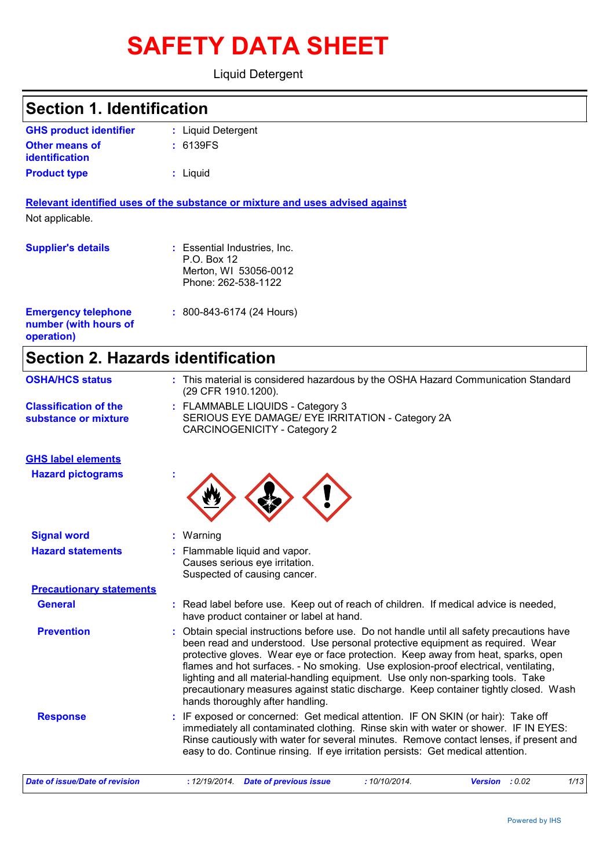# **SAFETY DATA SHEET**

Liquid Detergent

| <b>Section 1. Identification</b>                                  |                                                                                                                                                                                                                                                                                                                                                                                                                                                                                                                                                                     |
|-------------------------------------------------------------------|---------------------------------------------------------------------------------------------------------------------------------------------------------------------------------------------------------------------------------------------------------------------------------------------------------------------------------------------------------------------------------------------------------------------------------------------------------------------------------------------------------------------------------------------------------------------|
| <b>GHS product identifier</b>                                     | : Liquid Detergent                                                                                                                                                                                                                                                                                                                                                                                                                                                                                                                                                  |
| <b>Other means of</b><br>identification                           | : 6139FS                                                                                                                                                                                                                                                                                                                                                                                                                                                                                                                                                            |
| <b>Product type</b>                                               | : Liquid                                                                                                                                                                                                                                                                                                                                                                                                                                                                                                                                                            |
|                                                                   | Relevant identified uses of the substance or mixture and uses advised against                                                                                                                                                                                                                                                                                                                                                                                                                                                                                       |
| Not applicable.                                                   |                                                                                                                                                                                                                                                                                                                                                                                                                                                                                                                                                                     |
| <b>Supplier's details</b>                                         | : Essential Industries, Inc.<br>P.O. Box 12<br>Merton, WI 53056-0012<br>Phone: 262-538-1122                                                                                                                                                                                                                                                                                                                                                                                                                                                                         |
| <b>Emergency telephone</b><br>number (with hours of<br>operation) | $: 800 - 843 - 6174$ (24 Hours)                                                                                                                                                                                                                                                                                                                                                                                                                                                                                                                                     |
| <b>Section 2. Hazards identification</b>                          |                                                                                                                                                                                                                                                                                                                                                                                                                                                                                                                                                                     |
| <b>OSHA/HCS status</b>                                            | : This material is considered hazardous by the OSHA Hazard Communication Standard<br>(29 CFR 1910.1200).                                                                                                                                                                                                                                                                                                                                                                                                                                                            |
| <b>Classification of the</b><br>substance or mixture              | : FLAMMABLE LIQUIDS - Category 3<br>SERIOUS EYE DAMAGE/ EYE IRRITATION - Category 2A<br>CARCINOGENICITY - Category 2                                                                                                                                                                                                                                                                                                                                                                                                                                                |
| <b>GHS label elements</b>                                         |                                                                                                                                                                                                                                                                                                                                                                                                                                                                                                                                                                     |
| <b>Hazard pictograms</b>                                          |                                                                                                                                                                                                                                                                                                                                                                                                                                                                                                                                                                     |
| <b>Signal word</b>                                                | : Warning                                                                                                                                                                                                                                                                                                                                                                                                                                                                                                                                                           |
| <b>Hazard statements</b>                                          | : Flammable liquid and vapor.<br>Causes serious eye irritation.<br>Suspected of causing cancer.                                                                                                                                                                                                                                                                                                                                                                                                                                                                     |
| <b>Precautionary statements</b>                                   |                                                                                                                                                                                                                                                                                                                                                                                                                                                                                                                                                                     |
| <b>General</b>                                                    | : Read label before use. Keep out of reach of children. If medical advice is needed,<br>have product container or label at hand.                                                                                                                                                                                                                                                                                                                                                                                                                                    |
| <b>Prevention</b>                                                 | Obtain special instructions before use. Do not handle until all safety precautions have<br>been read and understood. Use personal protective equipment as required. Wear<br>protective gloves. Wear eye or face protection. Keep away from heat, sparks, open<br>flames and hot surfaces. - No smoking. Use explosion-proof electrical, ventilating,<br>lighting and all material-handling equipment. Use only non-sparking tools. Take<br>precautionary measures against static discharge. Keep container tightly closed. Wash<br>hands thoroughly after handling. |
| <b>Response</b>                                                   | : IF exposed or concerned: Get medical attention. IF ON SKIN (or hair): Take off<br>immediately all contaminated clothing. Rinse skin with water or shower. IF IN EYES:<br>Rinse cautiously with water for several minutes. Remove contact lenses, if present and                                                                                                                                                                                                                                                                                                   |

easy to do. Continue rinsing. If eye irritation persists: Get medical attention.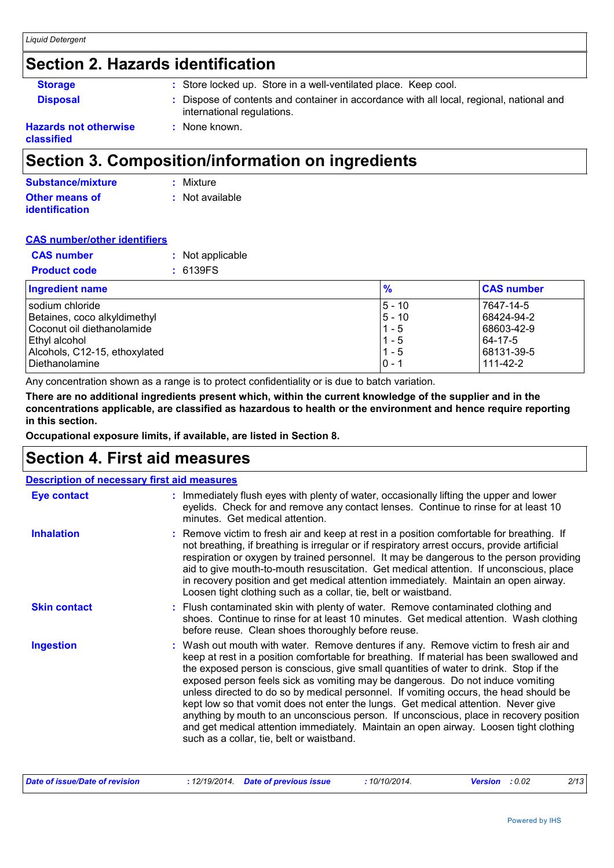### **Section 2. Hazards identification**

| <b>Storage</b>                             | : Store locked up. Store in a well-ventilated place. Keep cool.                                                        |
|--------------------------------------------|------------------------------------------------------------------------------------------------------------------------|
| <b>Disposal</b>                            | : Dispose of contents and container in accordance with all local, regional, national and<br>international regulations. |
| <b>Hazards not otherwise</b><br>classified | : None known.                                                                                                          |

### **Section 3. Composition/information on ingredients**

| Substance/mixture     | : Mixture       |
|-----------------------|-----------------|
| <b>Other means of</b> | : Not available |
| <i>identification</i> |                 |

#### **CAS number/other identifiers**

| <b>CAS number</b>   | : Not applicable |
|---------------------|------------------|
| <b>Product code</b> | : 6139FS         |

| <b>Ingredient name</b>        | $\frac{9}{6}$ | <b>CAS number</b> |
|-------------------------------|---------------|-------------------|
| Isodium chloride              | $ 5 - 10$     | 7647-14-5         |
| Betaines, coco alkyldimethyl  | $ 5 - 10$     | 68424-94-2        |
| Coconut oil diethanolamide    | $11 - 5$      | 68603-42-9        |
| Ethyl alcohol                 | $11 - 5$      | 64-17-5           |
| Alcohols, C12-15, ethoxylated | $1 - 5$       | 68131-39-5        |
| Diethanolamine                | $ 0 - 1$      | 111-42-2          |

Any concentration shown as a range is to protect confidentiality or is due to batch variation.

**There are no additional ingredients present which, within the current knowledge of the supplier and in the concentrations applicable, are classified as hazardous to health or the environment and hence require reporting in this section.**

**Occupational exposure limits, if available, are listed in Section 8.**

### **Section 4. First aid measures**

| <b>Description of necessary first aid measures</b> |                                                                                                                                                                                                                                                                                                                                                                                                                                                                                                                                                                                                                                                                                                                                                                           |
|----------------------------------------------------|---------------------------------------------------------------------------------------------------------------------------------------------------------------------------------------------------------------------------------------------------------------------------------------------------------------------------------------------------------------------------------------------------------------------------------------------------------------------------------------------------------------------------------------------------------------------------------------------------------------------------------------------------------------------------------------------------------------------------------------------------------------------------|
| Eye contact                                        | : Immediately flush eyes with plenty of water, occasionally lifting the upper and lower<br>eyelids. Check for and remove any contact lenses. Continue to rinse for at least 10<br>minutes. Get medical attention.                                                                                                                                                                                                                                                                                                                                                                                                                                                                                                                                                         |
| <b>Inhalation</b>                                  | : Remove victim to fresh air and keep at rest in a position comfortable for breathing. If<br>not breathing, if breathing is irregular or if respiratory arrest occurs, provide artificial<br>respiration or oxygen by trained personnel. It may be dangerous to the person providing<br>aid to give mouth-to-mouth resuscitation. Get medical attention. If unconscious, place<br>in recovery position and get medical attention immediately. Maintain an open airway.<br>Loosen tight clothing such as a collar, tie, belt or waistband.                                                                                                                                                                                                                                 |
| <b>Skin contact</b>                                | : Flush contaminated skin with plenty of water. Remove contaminated clothing and<br>shoes. Continue to rinse for at least 10 minutes. Get medical attention. Wash clothing<br>before reuse. Clean shoes thoroughly before reuse.                                                                                                                                                                                                                                                                                                                                                                                                                                                                                                                                          |
| <b>Ingestion</b>                                   | : Wash out mouth with water. Remove dentures if any. Remove victim to fresh air and<br>keep at rest in a position comfortable for breathing. If material has been swallowed and<br>the exposed person is conscious, give small quantities of water to drink. Stop if the<br>exposed person feels sick as vomiting may be dangerous. Do not induce vomiting<br>unless directed to do so by medical personnel. If vomiting occurs, the head should be<br>kept low so that vomit does not enter the lungs. Get medical attention. Never give<br>anything by mouth to an unconscious person. If unconscious, place in recovery position<br>and get medical attention immediately. Maintain an open airway. Loosen tight clothing<br>such as a collar, tie, belt or waistband. |

| Date of issue/Date of revision | : 12/19/2014 Date of previous issue | 10/10/2014. | <b>Version</b> : 0.02 |  | 2/13 |
|--------------------------------|-------------------------------------|-------------|-----------------------|--|------|
|--------------------------------|-------------------------------------|-------------|-----------------------|--|------|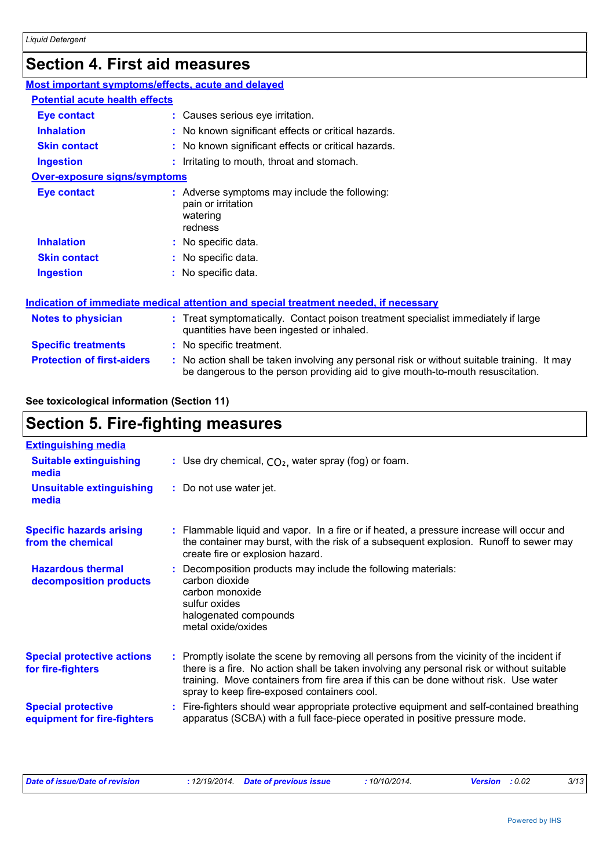## **Section 4. First aid measures**

| Most important symptoms/effects, acute and delayed |                                                                                                                                                                             |  |
|----------------------------------------------------|-----------------------------------------------------------------------------------------------------------------------------------------------------------------------------|--|
| <b>Potential acute health effects</b>              |                                                                                                                                                                             |  |
| <b>Eye contact</b>                                 | : Causes serious eye irritation.                                                                                                                                            |  |
| <b>Inhalation</b>                                  | No known significant effects or critical hazards.                                                                                                                           |  |
| <b>Skin contact</b>                                | No known significant effects or critical hazards.                                                                                                                           |  |
| <b>Ingestion</b>                                   | Irritating to mouth, throat and stomach.                                                                                                                                    |  |
| <b>Over-exposure signs/symptoms</b>                |                                                                                                                                                                             |  |
| <b>Eye contact</b>                                 | : Adverse symptoms may include the following:<br>pain or irritation<br>watering<br>redness                                                                                  |  |
| <b>Inhalation</b>                                  | No specific data.                                                                                                                                                           |  |
| <b>Skin contact</b>                                | No specific data.                                                                                                                                                           |  |
| <b>Ingestion</b>                                   | : No specific data.                                                                                                                                                         |  |
|                                                    | Indication of immediate medical attention and special treatment needed, if necessary                                                                                        |  |
| <b>Notes to physician</b>                          | : Treat symptomatically. Contact poison treatment specialist immediately if large<br>quantities have been ingested or inhaled.                                              |  |
| <b>Specific treatments</b>                         | : No specific treatment.                                                                                                                                                    |  |
| <b>Protection of first-aiders</b>                  | No action shall be taken involving any personal risk or without suitable training. It may<br>be dangerous to the person providing aid to give mouth-to-mouth resuscitation. |  |

#### **See toxicological information (Section 11)**

### **Section 5. Fire-fighting measures**

| <b>Extinguishing media</b>                               |                                                                                                                                                                                                                                                                                                                               |
|----------------------------------------------------------|-------------------------------------------------------------------------------------------------------------------------------------------------------------------------------------------------------------------------------------------------------------------------------------------------------------------------------|
| <b>Suitable extinguishing</b><br>media                   | : Use dry chemical, $CO2$ , water spray (fog) or foam.                                                                                                                                                                                                                                                                        |
| <b>Unsuitable extinguishing</b><br>media                 | : Do not use water jet.                                                                                                                                                                                                                                                                                                       |
| <b>Specific hazards arising</b><br>from the chemical     | : Flammable liquid and vapor. In a fire or if heated, a pressure increase will occur and<br>the container may burst, with the risk of a subsequent explosion. Runoff to sewer may<br>create fire or explosion hazard.                                                                                                         |
| <b>Hazardous thermal</b><br>decomposition products       | Decomposition products may include the following materials:<br>carbon dioxide<br>carbon monoxide<br>sulfur oxides<br>halogenated compounds<br>metal oxide/oxides                                                                                                                                                              |
| <b>Special protective actions</b><br>for fire-fighters   | : Promptly isolate the scene by removing all persons from the vicinity of the incident if<br>there is a fire. No action shall be taken involving any personal risk or without suitable<br>training. Move containers from fire area if this can be done without risk. Use water<br>spray to keep fire-exposed containers cool. |
| <b>Special protective</b><br>equipment for fire-fighters | : Fire-fighters should wear appropriate protective equipment and self-contained breathing<br>apparatus (SCBA) with a full face-piece operated in positive pressure mode.                                                                                                                                                      |

| Date of issue/Date of revision |  | : 12/19/2014 Date of previous issue<br>,我们也不会有什么。""我们,我们也不会有什么?""我们,我们也不会有什么?""我们,我们也不会有什么?""我们,我们也不会有什么?""我们,我们也不会有什么? | 10/10/2014. | <b>Version</b> : 0.02 | つノイつ<br>ں ہر |
|--------------------------------|--|-------------------------------------------------------------------------------------------------------------------------|-------------|-----------------------|--------------|
|--------------------------------|--|-------------------------------------------------------------------------------------------------------------------------|-------------|-----------------------|--------------|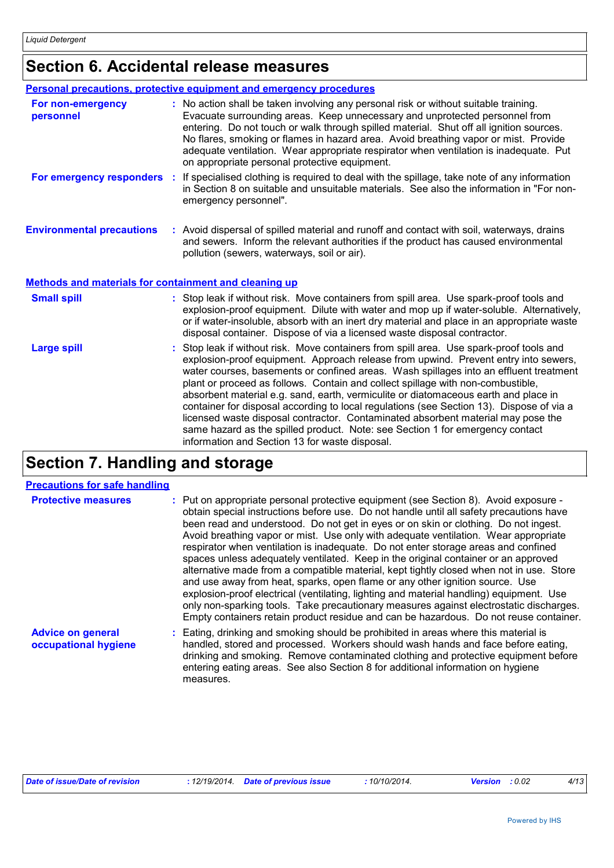### **Section 6. Accidental release measures**

|                                                              | Personal precautions, protective equipment and emergency procedures                                                                                                                                                                                                                                                                                                                                                                                                                                                                                                                                                                                                                                                                                                |
|--------------------------------------------------------------|--------------------------------------------------------------------------------------------------------------------------------------------------------------------------------------------------------------------------------------------------------------------------------------------------------------------------------------------------------------------------------------------------------------------------------------------------------------------------------------------------------------------------------------------------------------------------------------------------------------------------------------------------------------------------------------------------------------------------------------------------------------------|
| For non-emergency<br>personnel                               | : No action shall be taken involving any personal risk or without suitable training.<br>Evacuate surrounding areas. Keep unnecessary and unprotected personnel from<br>entering. Do not touch or walk through spilled material. Shut off all ignition sources.<br>No flares, smoking or flames in hazard area. Avoid breathing vapor or mist. Provide<br>adequate ventilation. Wear appropriate respirator when ventilation is inadequate. Put<br>on appropriate personal protective equipment.                                                                                                                                                                                                                                                                    |
| For emergency responders                                     | If specialised clothing is required to deal with the spillage, take note of any information<br>in Section 8 on suitable and unsuitable materials. See also the information in "For non-<br>emergency personnel".                                                                                                                                                                                                                                                                                                                                                                                                                                                                                                                                                   |
| <b>Environmental precautions</b>                             | : Avoid dispersal of spilled material and runoff and contact with soil, waterways, drains<br>and sewers. Inform the relevant authorities if the product has caused environmental<br>pollution (sewers, waterways, soil or air).                                                                                                                                                                                                                                                                                                                                                                                                                                                                                                                                    |
| <b>Methods and materials for containment and cleaning up</b> |                                                                                                                                                                                                                                                                                                                                                                                                                                                                                                                                                                                                                                                                                                                                                                    |
| <b>Small spill</b>                                           | : Stop leak if without risk. Move containers from spill area. Use spark-proof tools and<br>explosion-proof equipment. Dilute with water and mop up if water-soluble. Alternatively,<br>or if water-insoluble, absorb with an inert dry material and place in an appropriate waste<br>disposal container. Dispose of via a licensed waste disposal contractor.                                                                                                                                                                                                                                                                                                                                                                                                      |
| <b>Large spill</b>                                           | Stop leak if without risk. Move containers from spill area. Use spark-proof tools and<br>explosion-proof equipment. Approach release from upwind. Prevent entry into sewers,<br>water courses, basements or confined areas. Wash spillages into an effluent treatment<br>plant or proceed as follows. Contain and collect spillage with non-combustible,<br>absorbent material e.g. sand, earth, vermiculite or diatomaceous earth and place in<br>container for disposal according to local regulations (see Section 13). Dispose of via a<br>licensed waste disposal contractor. Contaminated absorbent material may pose the<br>same hazard as the spilled product. Note: see Section 1 for emergency contact<br>information and Section 13 for waste disposal. |

### **Section 7. Handling and storage**

#### **Precautions for safe handling**

| <b>Protective measures</b>                       | : Put on appropriate personal protective equipment (see Section 8). Avoid exposure -<br>obtain special instructions before use. Do not handle until all safety precautions have<br>been read and understood. Do not get in eyes or on skin or clothing. Do not ingest.<br>Avoid breathing vapor or mist. Use only with adequate ventilation. Wear appropriate<br>respirator when ventilation is inadequate. Do not enter storage areas and confined<br>spaces unless adequately ventilated. Keep in the original container or an approved<br>alternative made from a compatible material, kept tightly closed when not in use. Store<br>and use away from heat, sparks, open flame or any other ignition source. Use<br>explosion-proof electrical (ventilating, lighting and material handling) equipment. Use<br>only non-sparking tools. Take precautionary measures against electrostatic discharges.<br>Empty containers retain product residue and can be hazardous. Do not reuse container. |
|--------------------------------------------------|----------------------------------------------------------------------------------------------------------------------------------------------------------------------------------------------------------------------------------------------------------------------------------------------------------------------------------------------------------------------------------------------------------------------------------------------------------------------------------------------------------------------------------------------------------------------------------------------------------------------------------------------------------------------------------------------------------------------------------------------------------------------------------------------------------------------------------------------------------------------------------------------------------------------------------------------------------------------------------------------------|
| <b>Advice on general</b><br>occupational hygiene | : Eating, drinking and smoking should be prohibited in areas where this material is<br>handled, stored and processed. Workers should wash hands and face before eating,<br>drinking and smoking. Remove contaminated clothing and protective equipment before<br>entering eating areas. See also Section 8 for additional information on hygiene<br>measures.                                                                                                                                                                                                                                                                                                                                                                                                                                                                                                                                                                                                                                      |

| Date of issue/Date of revision | 12/19/2014. | <b>Date of previous issue</b> | 10/10/2014. | : 0.02<br><b>Version</b> | 4/13 |
|--------------------------------|-------------|-------------------------------|-------------|--------------------------|------|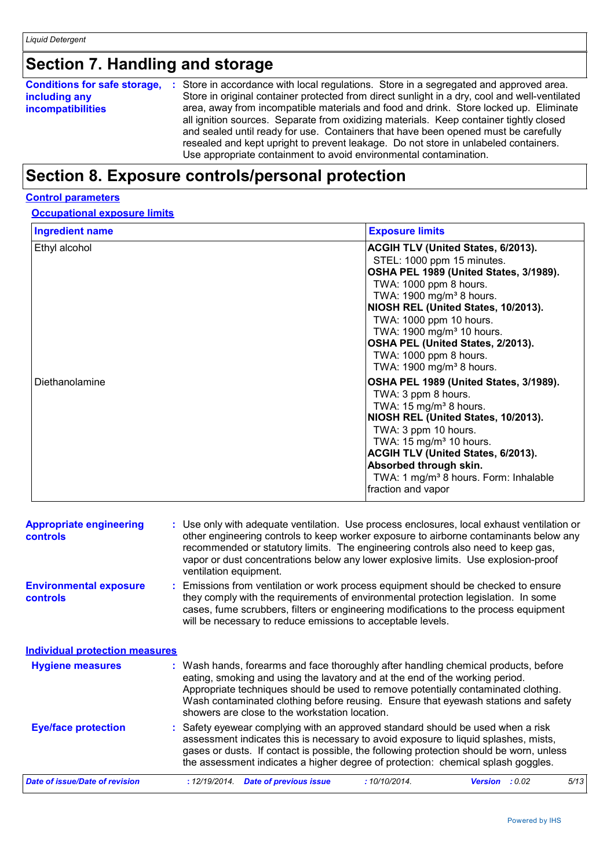## **Section 7. Handling and storage**

| <b>Conditions for safe storage,</b><br>including any<br><i>incompatibilities</i> | : Store in accordance with local regulations. Store in a segregated and approved area.<br>Store in original container protected from direct sunlight in a dry, cool and well-ventilated<br>area, away from incompatible materials and food and drink. Store locked up. Eliminate<br>all ignition sources. Separate from oxidizing materials. Keep container tightly closed<br>and sealed until ready for use. Containers that have been opened must be carefully<br>resealed and kept upright to prevent leakage. Do not store in unlabeled containers.<br>Use appropriate containment to avoid environmental contamination. |
|----------------------------------------------------------------------------------|------------------------------------------------------------------------------------------------------------------------------------------------------------------------------------------------------------------------------------------------------------------------------------------------------------------------------------------------------------------------------------------------------------------------------------------------------------------------------------------------------------------------------------------------------------------------------------------------------------------------------|
|                                                                                  |                                                                                                                                                                                                                                                                                                                                                                                                                                                                                                                                                                                                                              |

### **Section 8. Exposure controls/personal protection**

#### **Control parameters**

#### **Occupational exposure limits**

| <b>Ingredient name</b> | <b>Exposure limits</b>                                                                                                                                                                                                                                                                                                                                                                                |
|------------------------|-------------------------------------------------------------------------------------------------------------------------------------------------------------------------------------------------------------------------------------------------------------------------------------------------------------------------------------------------------------------------------------------------------|
| Ethyl alcohol          | <b>ACGIH TLV (United States, 6/2013).</b><br>STEL: 1000 ppm 15 minutes.<br>OSHA PEL 1989 (United States, 3/1989).<br>TWA: 1000 ppm 8 hours.<br>TWA: 1900 mg/m <sup>3</sup> 8 hours.<br>NIOSH REL (United States, 10/2013).<br>TWA: 1000 ppm 10 hours.<br>TWA: 1900 mg/m <sup>3</sup> 10 hours.<br>OSHA PEL (United States, 2/2013).<br>TWA: 1000 ppm 8 hours.<br>TWA: 1900 mg/m <sup>3</sup> 8 hours. |
| Diethanolamine         | OSHA PEL 1989 (United States, 3/1989).<br>TWA: 3 ppm 8 hours.<br>TWA: $15 \text{ mg/m}^3$ 8 hours.<br>NIOSH REL (United States, 10/2013).<br>TWA: 3 ppm 10 hours.<br>TWA: $15 \text{ mg/m}^3$ 10 hours.<br>ACGIH TLV (United States, 6/2013).<br>Absorbed through skin.<br>TWA: 1 mg/m <sup>3</sup> 8 hours. Form: Inhalable<br>fraction and vapor                                                    |

| <b>Appropriate engineering</b><br><b>controls</b> | : Use only with adequate ventilation. Use process enclosures, local exhaust ventilation or<br>other engineering controls to keep worker exposure to airborne contaminants below any<br>recommended or statutory limits. The engineering controls also need to keep gas,<br>vapor or dust concentrations below any lower explosive limits. Use explosion-proof<br>ventilation equipment.           |
|---------------------------------------------------|---------------------------------------------------------------------------------------------------------------------------------------------------------------------------------------------------------------------------------------------------------------------------------------------------------------------------------------------------------------------------------------------------|
| <b>Environmental exposure</b><br><b>controls</b>  | : Emissions from ventilation or work process equipment should be checked to ensure<br>they comply with the requirements of environmental protection legislation. In some<br>cases, fume scrubbers, filters or engineering modifications to the process equipment<br>will be necessary to reduce emissions to acceptable levels.                                                                   |
| <b>Individual protection measures</b>             |                                                                                                                                                                                                                                                                                                                                                                                                   |
| <b>Hygiene measures</b>                           | : Wash hands, forearms and face thoroughly after handling chemical products, before<br>eating, smoking and using the lavatory and at the end of the working period.<br>Appropriate techniques should be used to remove potentially contaminated clothing.<br>Wash contaminated clothing before reusing. Ensure that eyewash stations and safety<br>showers are close to the workstation location. |
| <b>Eye/face protection</b>                        | : Safety eyewear complying with an approved standard should be used when a risk<br>assessment indicates this is necessary to avoid exposure to liquid splashes, mists,<br>gases or dusts. If contact is possible, the following protection should be worn, unless<br>the assessment indicates a higher degree of protection: chemical splash goggles.                                             |
| Date of issue/Date of revision                    | <b>Date of previous issue</b><br>: 12/19/2014.<br>:10/10/2014.<br>5/13<br>: 0.02<br><b>Version</b>                                                                                                                                                                                                                                                                                                |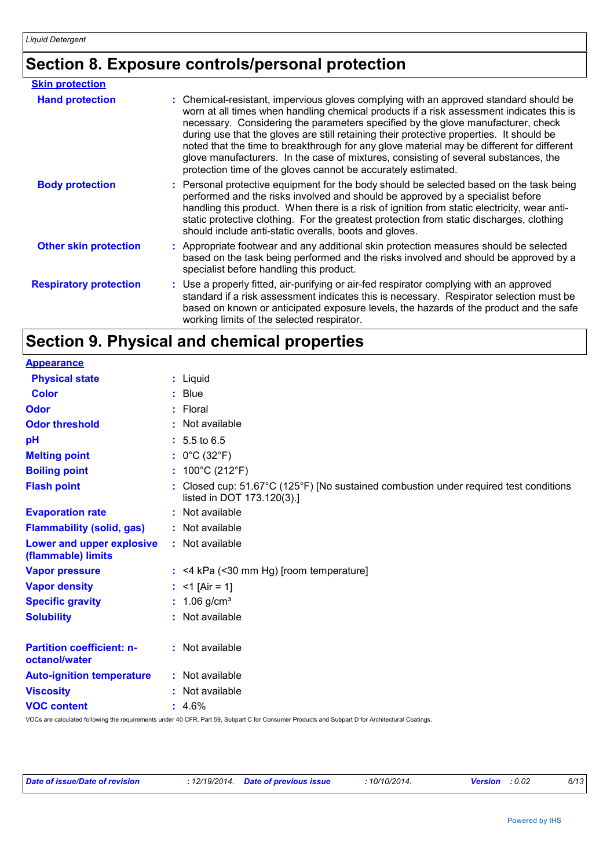### **Section 8. Exposure controls/personal protection**

| <b>Skin protection</b>        |                                                                                                                                                                                                                                                                                                                                                                                                                                                                                                                                                                                                                        |
|-------------------------------|------------------------------------------------------------------------------------------------------------------------------------------------------------------------------------------------------------------------------------------------------------------------------------------------------------------------------------------------------------------------------------------------------------------------------------------------------------------------------------------------------------------------------------------------------------------------------------------------------------------------|
| <b>Hand protection</b>        | : Chemical-resistant, impervious gloves complying with an approved standard should be<br>worn at all times when handling chemical products if a risk assessment indicates this is<br>necessary. Considering the parameters specified by the glove manufacturer, check<br>during use that the gloves are still retaining their protective properties. It should be<br>noted that the time to breakthrough for any glove material may be different for different<br>glove manufacturers. In the case of mixtures, consisting of several substances, the<br>protection time of the gloves cannot be accurately estimated. |
| <b>Body protection</b>        | : Personal protective equipment for the body should be selected based on the task being<br>performed and the risks involved and should be approved by a specialist before<br>handling this product. When there is a risk of ignition from static electricity, wear anti-<br>static protective clothing. For the greatest protection from static discharges, clothing<br>should include anti-static overalls, boots and gloves.                                                                                                                                                                                         |
| <b>Other skin protection</b>  | : Appropriate footwear and any additional skin protection measures should be selected<br>based on the task being performed and the risks involved and should be approved by a<br>specialist before handling this product.                                                                                                                                                                                                                                                                                                                                                                                              |
| <b>Respiratory protection</b> | : Use a properly fitted, air-purifying or air-fed respirator complying with an approved<br>standard if a risk assessment indicates this is necessary. Respirator selection must be<br>based on known or anticipated exposure levels, the hazards of the product and the safe<br>working limits of the selected respirator.                                                                                                                                                                                                                                                                                             |

## **Section 9. Physical and chemical properties**

| <b>Appearance</b>                                 |                                                                                                                                         |
|---------------------------------------------------|-----------------------------------------------------------------------------------------------------------------------------------------|
| <b>Physical state</b>                             | : Liquid                                                                                                                                |
| <b>Color</b>                                      | $:$ Blue                                                                                                                                |
| Odor                                              | $:$ Floral                                                                                                                              |
| <b>Odor threshold</b>                             | : Not available                                                                                                                         |
| pH                                                | $: 5.5 \text{ to } 6.5$                                                                                                                 |
| <b>Melting point</b>                              | : $0^{\circ}$ C (32 $^{\circ}$ F)                                                                                                       |
| <b>Boiling point</b>                              | : $100^{\circ}$ C (212 $^{\circ}$ F)                                                                                                    |
| <b>Flash point</b>                                | : Closed cup: 51.67°C (125°F) [No sustained combustion under required test conditions<br>listed in DOT 173.120(3).]                     |
| <b>Evaporation rate</b>                           | : Not available                                                                                                                         |
| <b>Flammability (solid, gas)</b>                  | : Not available                                                                                                                         |
| Lower and upper explosive<br>(flammable) limits   | : Not available                                                                                                                         |
| <b>Vapor pressure</b>                             | $:$ <4 kPa (<30 mm Hg) [room temperature]                                                                                               |
| <b>Vapor density</b>                              | : <1 [Air = 1]                                                                                                                          |
| <b>Specific gravity</b>                           | : $1.06$ g/cm <sup>3</sup>                                                                                                              |
| <b>Solubility</b>                                 | : Not available                                                                                                                         |
| <b>Partition coefficient: n-</b><br>octanol/water | : Not available                                                                                                                         |
| <b>Auto-ignition temperature</b>                  | : Not available                                                                                                                         |
| <b>Viscosity</b>                                  | : Not available                                                                                                                         |
| <b>VOC content</b>                                | $: 4.6\%$                                                                                                                               |
|                                                   | schooled following the provincing the third 40 OED. Dust 50, October 0 for Opposition Dustrian and October 10 for Applitude in Opposite |

VOCs are calculated following the requirements under 40 CFR, Part 59, Subpart C for Consumer Products and Subpart D for Architectural Coatings.

| Date of issue/Date of revision | : 12/19/2014 Date of previous issue | : 10/10/2014. | <b>Version</b> : 0.02 | 6/13 |
|--------------------------------|-------------------------------------|---------------|-----------------------|------|
|--------------------------------|-------------------------------------|---------------|-----------------------|------|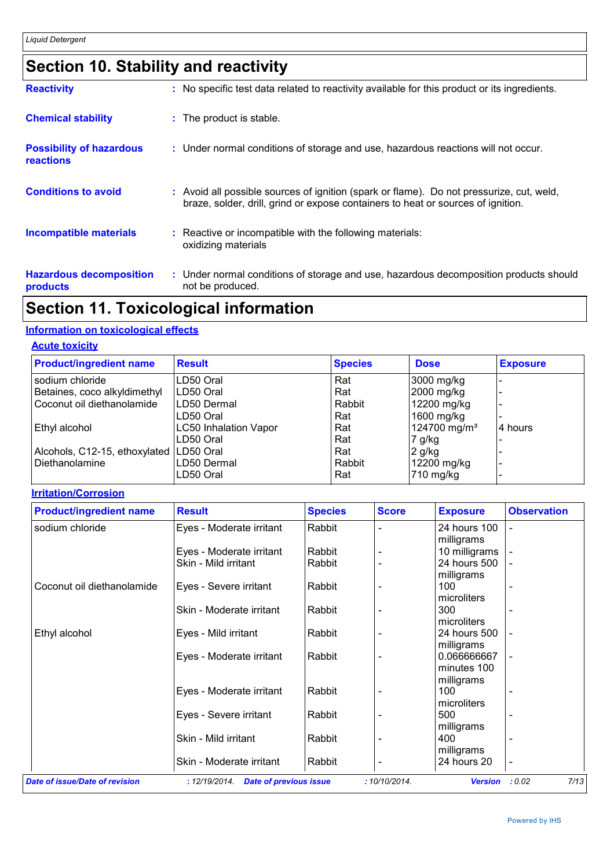### **Section 10. Stability and reactivity**

| <b>Reactivity</b>                                   | : No specific test data related to reactivity available for this product or its ingredients.                                                                                 |
|-----------------------------------------------------|------------------------------------------------------------------------------------------------------------------------------------------------------------------------------|
| <b>Chemical stability</b>                           | : The product is stable.                                                                                                                                                     |
| <b>Possibility of hazardous</b><br><b>reactions</b> | : Under normal conditions of storage and use, hazardous reactions will not occur.                                                                                            |
| <b>Conditions to avoid</b>                          | : Avoid all possible sources of ignition (spark or flame). Do not pressurize, cut, weld,<br>braze, solder, drill, grind or expose containers to heat or sources of ignition. |
| <b>Incompatible materials</b>                       | : Reactive or incompatible with the following materials:<br>oxidizing materials                                                                                              |
| <b>Hazardous decomposition</b><br>products          | : Under normal conditions of storage and use, hazardous decomposition products should<br>not be produced.                                                                    |

### **Section 11. Toxicological information**

#### **Information on toxicological effects**

#### **Acute toxicity**

| <b>Product/ingredient name</b> | <b>Result</b>                | <b>Species</b> | <b>Dose</b>              | <b>Exposure</b> |
|--------------------------------|------------------------------|----------------|--------------------------|-----------------|
| sodium chloride                | LD50 Oral                    | Rat            | 3000 mg/kg               |                 |
| Betaines, coco alkyldimethyl   | LD50 Oral                    | Rat            | 2000 mg/kg               |                 |
| Coconut oil diethanolamide     | LD50 Dermal                  | Rabbit         | 12200 mg/kg              |                 |
|                                | LD50 Oral                    | Rat            | 1600 mg/kg               |                 |
| Ethyl alcohol                  | <b>LC50 Inhalation Vapor</b> | Rat            | 124700 mg/m <sup>3</sup> | 14 hours        |
|                                | LD50 Oral                    | Rat            | 7 g/kg                   |                 |
| Alcohols, C12-15, ethoxylated  | LD50 Oral                    | Rat            | $2$ g/kg                 |                 |
| Diethanolamine                 | LD50 Dermal                  | Rabbit         | 12200 mg/kg              |                 |
|                                | LD50 Oral                    | Rat            | 710 mg/kg                |                 |

#### **Irritation/Corrosion**

| <b>Product/ingredient name</b>        | <b>Result</b>                                  | <b>Species</b> | <b>Score</b> | <b>Exposure</b> | <b>Observation</b>       |
|---------------------------------------|------------------------------------------------|----------------|--------------|-----------------|--------------------------|
| sodium chloride                       | Eyes - Moderate irritant                       | Rabbit         |              | 24 hours 100    |                          |
|                                       |                                                |                |              | milligrams      |                          |
|                                       | Eyes - Moderate irritant                       | Rabbit         |              | 10 milligrams   |                          |
|                                       | Skin - Mild irritant                           | Rabbit         |              | 24 hours 500    |                          |
|                                       |                                                |                |              | milligrams      |                          |
| Coconut oil diethanolamide            | Eyes - Severe irritant                         | Rabbit         |              | 100             |                          |
|                                       |                                                |                |              | microliters     |                          |
|                                       | Skin - Moderate irritant                       | Rabbit         |              | 300             |                          |
|                                       |                                                |                |              | microliters     |                          |
| Ethyl alcohol                         | Eyes - Mild irritant                           | Rabbit         |              | 24 hours 500    |                          |
|                                       |                                                |                |              | milligrams      |                          |
|                                       | Eyes - Moderate irritant                       | Rabbit         |              | 0.066666667     |                          |
|                                       |                                                |                |              | minutes 100     |                          |
|                                       |                                                |                |              | milligrams      |                          |
|                                       | Eyes - Moderate irritant                       | Rabbit         |              | 100             |                          |
|                                       |                                                |                |              | microliters     |                          |
|                                       | Eyes - Severe irritant                         | Rabbit         |              | 500             |                          |
|                                       |                                                |                |              | milligrams      |                          |
|                                       | Skin - Mild irritant                           | Rabbit         |              | 400             |                          |
|                                       |                                                |                |              | milligrams      |                          |
|                                       | Skin - Moderate irritant                       | Rabbit         |              | 24 hours 20     | $\overline{\phantom{a}}$ |
| <b>Date of issue/Date of revision</b> | <b>Date of previous issue</b><br>: 12/19/2014. |                | :10/10/2014. | <b>Version</b>  | 7/13<br>: 0.02           |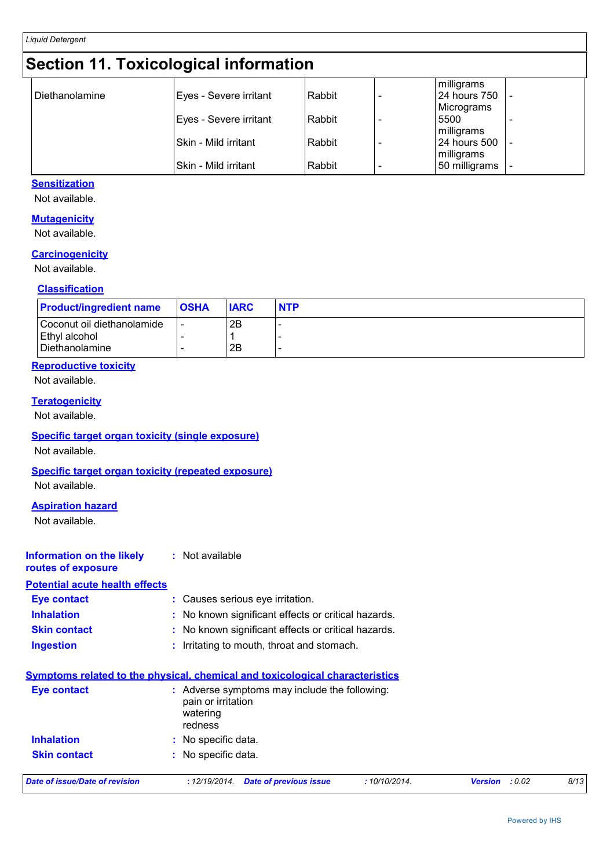### **Section 11. Toxicological information**

|                |                        |        | milligrams    |  |
|----------------|------------------------|--------|---------------|--|
| Diethanolamine | Eyes - Severe irritant | Rabbit | 24 hours 750  |  |
|                |                        |        | Micrograms    |  |
|                | Eyes - Severe irritant | Rabbit | 5500          |  |
|                |                        |        |               |  |
|                | Skin - Mild irritant   | Rabbit | 24 hours 500  |  |
|                |                        |        | milligrams    |  |
|                | Skin - Mild irritant   | Rabbit | 50 milligrams |  |
|                |                        |        | milligrams    |  |

#### **Sensitization**

Not available.

#### **Mutagenicity**

Not available.

#### **Carcinogenicity**

Not available.

#### **Classification**

| <b>Product/ingredient name</b> | <b>OSHA</b> | <b>IARC</b> | <b>NTP</b> |
|--------------------------------|-------------|-------------|------------|
| Coconut oil diethanolamide     |             | 2Β          |            |
| Ethyl alcohol                  |             |             |            |
| l Diethanolamine               |             | 2B          |            |

#### **Reproductive toxicity**

Not available.

#### **Teratogenicity**

Not available.

#### **Specific target organ toxicity (single exposure)**

Not available.

#### **Specific target organ toxicity (repeated exposure)**

Not available.

#### **Aspiration hazard**

Not available.

#### **Information on the likely routes of exposure :** Not available

#### **Potential acute health effects**

| <b>Eve contact</b>  | : Causes serious eye irritation.                    |
|---------------------|-----------------------------------------------------|
| <b>Inhalation</b>   | : No known significant effects or critical hazards. |
| <b>Skin contact</b> | : No known significant effects or critical hazards. |
| <b>Ingestion</b>    | : Irritating to mouth, throat and stomach.          |

### **Symptoms related to the physical, chemical and toxicological characteristics**

| <b>Eye contact</b>             | : Adverse symptoms may include the following:<br>pain or irritation<br>watering<br>redness |              |                          |      |  |  |
|--------------------------------|--------------------------------------------------------------------------------------------|--------------|--------------------------|------|--|--|
| <b>Inhalation</b>              | : No specific data.                                                                        |              |                          |      |  |  |
| <b>Skin contact</b>            | : No specific data.                                                                        |              |                          |      |  |  |
| Date of issue/Date of revision | <b>Date of previous issue</b><br>: 12/19/2014.                                             | :10/10/2014. | : 0.02<br><b>Version</b> | 8/13 |  |  |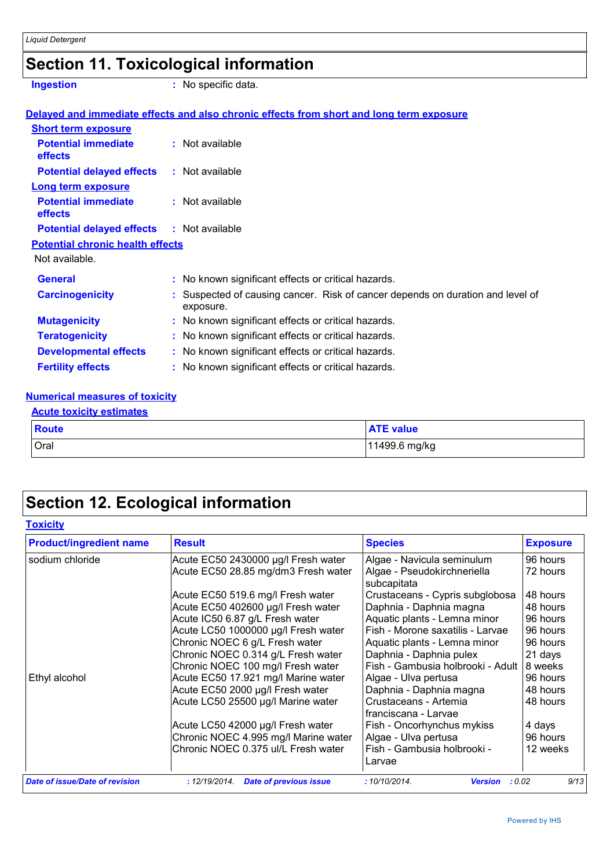## **Section 11. Toxicological information**

**Ingestion :** No specific data.

|                                                  | Delayed and immediate effects and also chronic effects from short and long term exposure  |
|--------------------------------------------------|-------------------------------------------------------------------------------------------|
| <b>Short term exposure</b>                       |                                                                                           |
| <b>Potential immediate</b><br><b>effects</b>     | $:$ Not available                                                                         |
| <b>Potential delayed effects</b>                 | : Not available                                                                           |
| <b>Long term exposure</b>                        |                                                                                           |
| <b>Potential immediate</b><br>effects            | : Not available                                                                           |
| <b>Potential delayed effects : Not available</b> |                                                                                           |
| <b>Potential chronic health effects</b>          |                                                                                           |
| Not available.                                   |                                                                                           |
| <b>General</b>                                   | : No known significant effects or critical hazards.                                       |
| <b>Carcinogenicity</b>                           | Suspected of causing cancer. Risk of cancer depends on duration and level of<br>exposure. |
| <b>Mutagenicity</b>                              | : No known significant effects or critical hazards.                                       |
| <b>Teratogenicity</b>                            | : No known significant effects or critical hazards.                                       |
| <b>Developmental effects</b>                     | : No known significant effects or critical hazards.                                       |
| <b>Fertility effects</b>                         | : No known significant effects or critical hazards.                                       |

#### **Numerical measures of toxicity Acute toxicity estimates**

| <b>Acute toxicity estimates</b> |                  |
|---------------------------------|------------------|
| Route                           | <b>ATE</b> value |
| Oral                            | 11499.6 mg/kg    |

### **Section 12. Ecological information**

### **Toxicity**

| <b>Product/ingredient name</b>        | <b>Result</b>                                  | <b>Species</b>                                | <b>Exposure</b> |
|---------------------------------------|------------------------------------------------|-----------------------------------------------|-----------------|
| sodium chloride                       | Acute EC50 2430000 µg/l Fresh water            | Algae - Navicula seminulum                    | 96 hours        |
|                                       | Acute EC50 28.85 mg/dm3 Fresh water            | Algae - Pseudokirchneriella<br>subcapitata    | 72 hours        |
|                                       | Acute EC50 519.6 mg/l Fresh water              | Crustaceans - Cypris subglobosa               | 48 hours        |
|                                       | Acute EC50 402600 µg/l Fresh water             | Daphnia - Daphnia magna                       | 48 hours        |
|                                       | Acute IC50 6.87 g/L Fresh water                | Aquatic plants - Lemna minor                  | 96 hours        |
|                                       | Acute LC50 1000000 µg/l Fresh water            | Fish - Morone saxatilis - Larvae              | 96 hours        |
|                                       | Chronic NOEC 6 g/L Fresh water                 | Aquatic plants - Lemna minor                  | 96 hours        |
|                                       | Chronic NOEC 0.314 g/L Fresh water             | Daphnia - Daphnia pulex                       | 21 days         |
|                                       | Chronic NOEC 100 mg/l Fresh water              | Fish - Gambusia holbrooki - Adult             | 8 weeks         |
| Ethyl alcohol                         | Acute EC50 17.921 mg/l Marine water            | Algae - Ulva pertusa                          | 96 hours        |
|                                       | Acute EC50 2000 µg/l Fresh water               | Daphnia - Daphnia magna                       | 48 hours        |
|                                       | Acute LC50 25500 µg/l Marine water             | Crustaceans - Artemia<br>franciscana - Larvae | 48 hours        |
|                                       | Acute LC50 42000 µg/l Fresh water              | Fish - Oncorhynchus mykiss                    | 4 days          |
|                                       | Chronic NOEC 4.995 mg/l Marine water           | Algae - Ulva pertusa                          | 96 hours        |
|                                       | Chronic NOEC 0.375 ul/L Fresh water            | Fish - Gambusia holbrooki -<br>Larvae         | 12 weeks        |
| <b>Date of issue/Date of revision</b> | : 12/19/2014.<br><b>Date of previous issue</b> | :10/10/2014.<br>: 0.02<br><b>Version</b>      | 9/13            |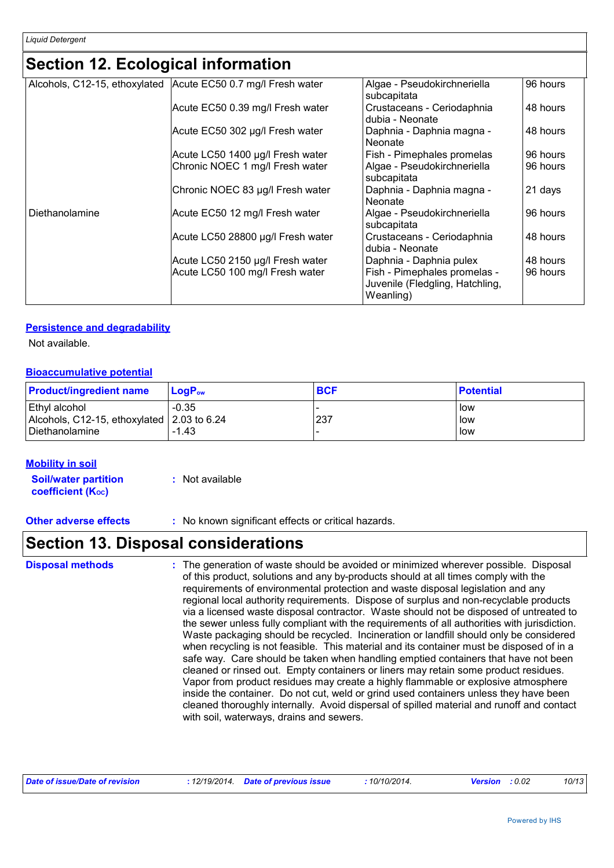### **Section 12. Ecological information**

| Alcohols, C12-15, ethoxylated | Acute EC50 0.7 mg/l Fresh water   | Algae - Pseudokirchneriella<br>subcapitata                                   | 96 hours |
|-------------------------------|-----------------------------------|------------------------------------------------------------------------------|----------|
|                               | Acute EC50 0.39 mg/l Fresh water  | Crustaceans - Ceriodaphnia<br>dubia - Neonate                                | 48 hours |
|                               | Acute EC50 302 µg/l Fresh water   | Daphnia - Daphnia magna -<br>Neonate                                         | 48 hours |
|                               | Acute LC50 1400 µg/l Fresh water  | Fish - Pimephales promelas                                                   | 96 hours |
|                               | Chronic NOEC 1 mg/l Fresh water   | Algae - Pseudokirchneriella<br>subcapitata                                   | 96 hours |
|                               | Chronic NOEC 83 µg/l Fresh water  | Daphnia - Daphnia magna -<br>Neonate                                         | 21 days  |
| Diethanolamine                | Acute EC50 12 mg/l Fresh water    | Algae - Pseudokirchneriella<br>subcapitata                                   | 96 hours |
|                               | Acute LC50 28800 µg/l Fresh water | Crustaceans - Ceriodaphnia<br>dubia - Neonate                                | 48 hours |
|                               | Acute LC50 2150 µg/l Fresh water  | Daphnia - Daphnia pulex                                                      | 48 hours |
|                               | Acute LC50 100 mg/l Fresh water   | Fish - Pimephales promelas -<br>Juvenile (Fledgling, Hatchling,<br>Weanling) | 96 hours |

#### **Persistence and degradability**

Not available.

#### **Bioaccumulative potential**

| <b>Product/ingredient name</b>                                                       | $\mathsf{LoaP}_\mathsf{ow}$ | <b>BCF</b> | <b>Potential</b>        |
|--------------------------------------------------------------------------------------|-----------------------------|------------|-------------------------|
| <b>Ethyl alcohol</b><br>Alcohols, C12-15, ethoxylated 2.03 to 6.24<br>Diethanolamine | $-0.35$<br>$-1.43$          | 237        | l low<br>l low<br>l low |

#### **Mobility in soil**

**Soil/water partition coefficient (K**<sub>oc</sub>) **:** Not available

**Other adverse effects** : No known significant effects or critical hazards.

### **Section 13. Disposal considerations**

| <b>Disposal methods</b> | : The generation of waste should be avoided or minimized wherever possible. Disposal<br>of this product, solutions and any by-products should at all times comply with the<br>requirements of environmental protection and waste disposal legislation and any<br>regional local authority requirements. Dispose of surplus and non-recyclable products<br>via a licensed waste disposal contractor. Waste should not be disposed of untreated to<br>the sewer unless fully compliant with the requirements of all authorities with jurisdiction.<br>Waste packaging should be recycled. Incineration or landfill should only be considered<br>when recycling is not feasible. This material and its container must be disposed of in a<br>safe way. Care should be taken when handling emptied containers that have not been<br>cleaned or rinsed out. Empty containers or liners may retain some product residues.<br>Vapor from product residues may create a highly flammable or explosive atmosphere<br>inside the container. Do not cut, weld or grind used containers unless they have been<br>cleaned thoroughly internally. Avoid dispersal of spilled material and runoff and contact<br>with soil, waterways, drains and sewers. |
|-------------------------|--------------------------------------------------------------------------------------------------------------------------------------------------------------------------------------------------------------------------------------------------------------------------------------------------------------------------------------------------------------------------------------------------------------------------------------------------------------------------------------------------------------------------------------------------------------------------------------------------------------------------------------------------------------------------------------------------------------------------------------------------------------------------------------------------------------------------------------------------------------------------------------------------------------------------------------------------------------------------------------------------------------------------------------------------------------------------------------------------------------------------------------------------------------------------------------------------------------------------------------------|
|-------------------------|--------------------------------------------------------------------------------------------------------------------------------------------------------------------------------------------------------------------------------------------------------------------------------------------------------------------------------------------------------------------------------------------------------------------------------------------------------------------------------------------------------------------------------------------------------------------------------------------------------------------------------------------------------------------------------------------------------------------------------------------------------------------------------------------------------------------------------------------------------------------------------------------------------------------------------------------------------------------------------------------------------------------------------------------------------------------------------------------------------------------------------------------------------------------------------------------------------------------------------------------|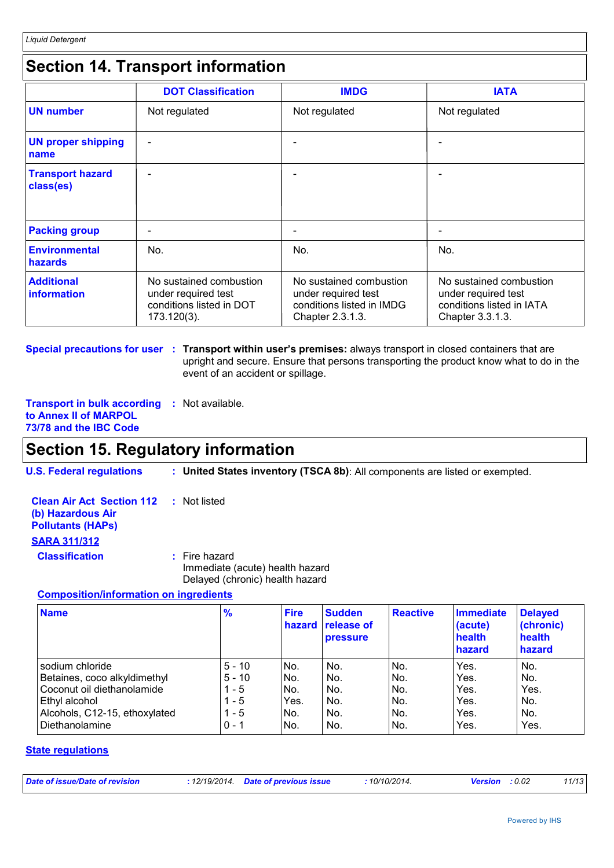### **Section 14. Transport information**

|                                      | <b>DOT Classification</b>                                                                 | <b>IMDG</b>                                                                                     | <b>IATA</b>                                                                                     |
|--------------------------------------|-------------------------------------------------------------------------------------------|-------------------------------------------------------------------------------------------------|-------------------------------------------------------------------------------------------------|
| <b>UN number</b>                     | Not regulated                                                                             | Not regulated                                                                                   | Not regulated                                                                                   |
| <b>UN proper shipping</b><br>name    |                                                                                           |                                                                                                 |                                                                                                 |
| <b>Transport hazard</b><br>class(es) | $\overline{\phantom{0}}$                                                                  |                                                                                                 |                                                                                                 |
| <b>Packing group</b>                 | -                                                                                         |                                                                                                 |                                                                                                 |
| Environmental<br>hazards             | No.                                                                                       | No.                                                                                             | No.                                                                                             |
| <b>Additional</b><br>information     | No sustained combustion<br>under required test<br>conditions listed in DOT<br>173.120(3). | No sustained combustion<br>under required test<br>conditions listed in IMDG<br>Chapter 2.3.1.3. | No sustained combustion<br>under required test<br>conditions listed in IATA<br>Chapter 3.3.1.3. |

**Special precautions for user : Transport within user's premises: always transport in closed containers that are** upright and secure. Ensure that persons transporting the product know what to do in the event of an accident or spillage.

**Transport in bulk according :** Not available. **to Annex II of MARPOL 73/78 and the IBC Code**

### **Section 15. Regulatory information**

**U.S. Federal regulations : United States inventory (TSCA 8b)**: All components are listed or exempted.

| <b>Clean Air Act Section 112 : Not listed</b> |  |
|-----------------------------------------------|--|
| (b) Hazardous Air                             |  |
| <b>Pollutants (HAPS)</b>                      |  |
| <b>SARA 311/312</b>                           |  |

**Classification :** Fire hazard Immediate (acute) health hazard Delayed (chronic) health hazard

#### **Composition/information on ingredients**

| <b>Name</b>                                       | $\frac{9}{6}$    | <b>Fire</b><br>hazard | <b>Sudden</b><br><b>release of</b><br><b>pressure</b> | <b>Reactive</b> | <b>Immediate</b><br>(acute)<br>health<br>hazard | <b>Delayed</b><br>(chronic)<br>health<br>hazard |
|---------------------------------------------------|------------------|-----------------------|-------------------------------------------------------|-----------------|-------------------------------------------------|-------------------------------------------------|
| sodium chloride                                   | $5 - 10$         | INo.                  | No.                                                   | No.             | Yes.                                            | No.                                             |
| Betaines, coco alkyldimethyl                      | $5 - 10$         | INo.                  | No.                                                   | INo.            | Yes.                                            | No.                                             |
| Coconut oil diethanolamide                        | $1 - 5$          | No.                   | No.                                                   | No.             | Yes.                                            | Yes.                                            |
| Ethyl alcohol                                     | 1 - 5            | Yes.                  | No.                                                   | INo.            | Yes.                                            | No.                                             |
| Alcohols, C12-15, ethoxylated<br>l Diethanolamine | 1 - 5<br>$0 - 1$ | No.<br>INo.           | No.<br>No.                                            | INo.<br>INo.    | Yes.<br>Yes.                                    | No.<br>Yes.                                     |

#### **State regulations**

| : 12/19/2014 Date of previous issue<br><b>Version</b> : 0.02 | Date of issue/Date of revision |  |  | 10/10/2014. |  |  | 11/13 |
|--------------------------------------------------------------|--------------------------------|--|--|-------------|--|--|-------|
|--------------------------------------------------------------|--------------------------------|--|--|-------------|--|--|-------|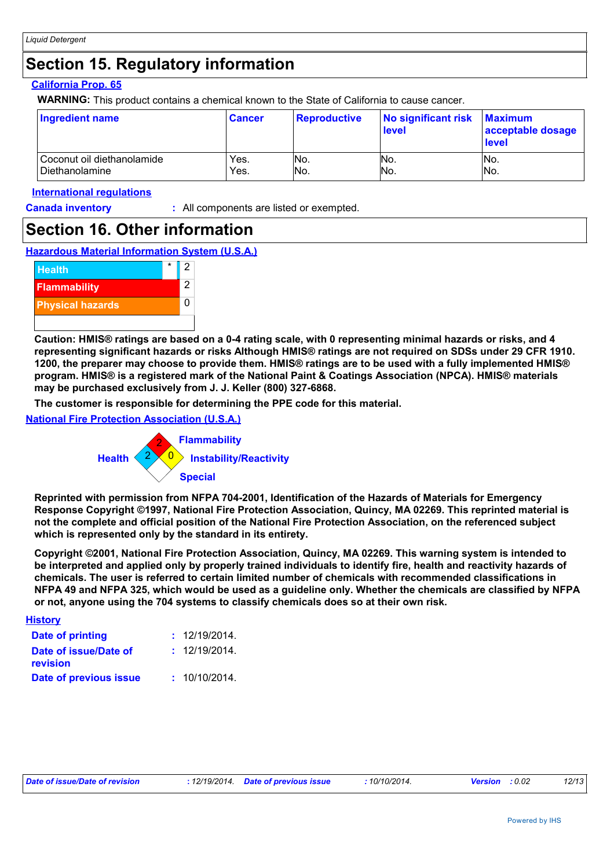### **Section 15. Regulatory information**

#### **California Prop. 65**

**WARNING:** This product contains a chemical known to the State of California to cause cancer.

| Ingredient name            | <b>Cancer</b> | <b>Reproductive</b> | No significant risk<br>level | <b>Maximum</b><br>acceptable dosage<br>level |
|----------------------------|---------------|---------------------|------------------------------|----------------------------------------------|
| Coconut oil diethanolamide | Yes.          | No.                 | INo.                         | INo.                                         |
| Diethanolamine             | Yes.          | No.                 | No.                          | INo.                                         |

#### **International regulations**

**Canada inventory :** All components are listed or exempted.

### **Section 16. Other information**





**Caution: HMIS® ratings are based on a 0-4 rating scale, with 0 representing minimal hazards or risks, and 4 representing significant hazards or risks Although HMIS® ratings are not required on SDSs under 29 CFR 1910. 1200, the preparer may choose to provide them. HMIS® ratings are to be used with a fully implemented HMIS® program. HMIS® is a registered mark of the National Paint & Coatings Association (NPCA). HMIS® materials may be purchased exclusively from J. J. Keller (800) 327-6868.**

**The customer is responsible for determining the PPE code for this material.**

**National Fire Protection Association (U.S.A.)**



**Reprinted with permission from NFPA 704-2001, Identification of the Hazards of Materials for Emergency Response Copyright ©1997, National Fire Protection Association, Quincy, MA 02269. This reprinted material is not the complete and official position of the National Fire Protection Association, on the referenced subject which is represented only by the standard in its entirety.**

**Copyright ©2001, National Fire Protection Association, Quincy, MA 02269. This warning system is intended to be interpreted and applied only by properly trained individuals to identify fire, health and reactivity hazards of chemicals. The user is referred to certain limited number of chemicals with recommended classifications in NFPA 49 and NFPA 325, which would be used as a guideline only. Whether the chemicals are classified by NFPA or not, anyone using the 704 systems to classify chemicals does so at their own risk.**

| <b>History</b>                    |               |
|-----------------------------------|---------------|
| Date of printing                  | : 12/19/2014. |
| Date of issue/Date of<br>revision | : 12/19/2014. |
| Date of previous issue            | : 10/10/2014. |